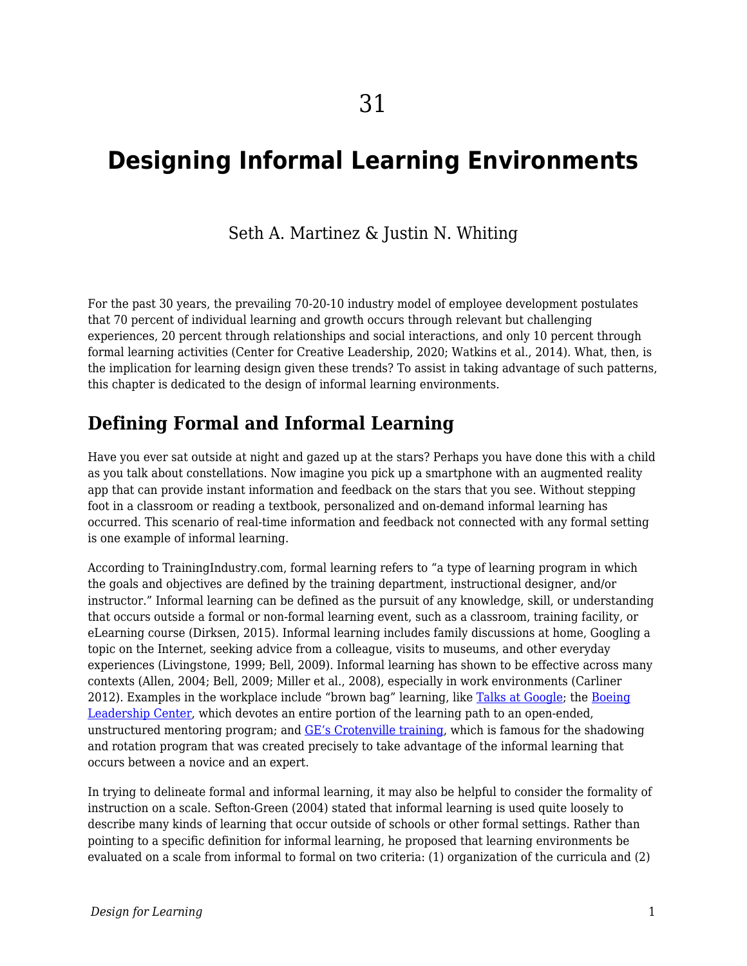# **Designing Informal Learning Environments**

#### Seth A. Martinez & Justin N. Whiting

For the past 30 years, the prevailing 70-20-10 industry model of employee development postulates that 70 percent of individual learning and growth occurs through relevant but challenging experiences, 20 percent through relationships and social interactions, and only 10 percent through formal learning activities (Center for Creative Leadership, 2020; Watkins et al., 2014). What, then, is the implication for learning design given these trends? To assist in taking advantage of such patterns, this chapter is dedicated to the design of informal learning environments.

### **Defining Formal and Informal Learning**

Have you ever sat outside at night and gazed up at the stars? Perhaps you have done this with a child as you talk about constellations. Now imagine you pick up a smartphone with an augmented reality app that can provide instant information and feedback on the stars that you see. Without stepping foot in a classroom or reading a textbook, personalized and on-demand informal learning has occurred. This scenario of real-time information and feedback not connected with any formal setting is one example of informal learning.

According to TrainingIndustry.com, formal learning refers to "a type of learning program in which the goals and objectives are defined by the training department, instructional designer, and/or instructor." Informal learning can be defined as the pursuit of any knowledge, skill, or understanding that occurs outside a formal or non-formal learning event, such as a classroom, training facility, or eLearning course (Dirksen, 2015). Informal learning includes family discussions at home, Googling a topic on the Internet, seeking advice from a colleague, visits to museums, and other everyday experiences (Livingstone, 1999; Bell, 2009). Informal learning has shown to be effective across many contexts (Allen, 2004; Bell, 2009; Miller et al., 2008), especially in work environments (Carliner 2012). Examples in the workplace include "brown bag" learning, like [Talks at Google;](https://talksat.withgoogle.com/) the [Boeing](https://www.boeing.com/news/frontiers/archive/2006/august/cover.pdf) [Leadership Center](https://www.boeing.com/news/frontiers/archive/2006/august/cover.pdf), which devotes an entire portion of the learning path to an open-ended, unstructured mentoring program; and [GE's Crotenville training,](https://jobs.gecareers.com/global/en/crotonville) which is famous for the shadowing and rotation program that was created precisely to take advantage of the informal learning that occurs between a novice and an expert.

In trying to delineate formal and informal learning, it may also be helpful to consider the formality of instruction on a scale. Sefton-Green (2004) stated that informal learning is used quite loosely to describe many kinds of learning that occur outside of schools or other formal settings. Rather than pointing to a specific definition for informal learning, he proposed that learning environments be evaluated on a scale from informal to formal on two criteria: (1) organization of the curricula and (2)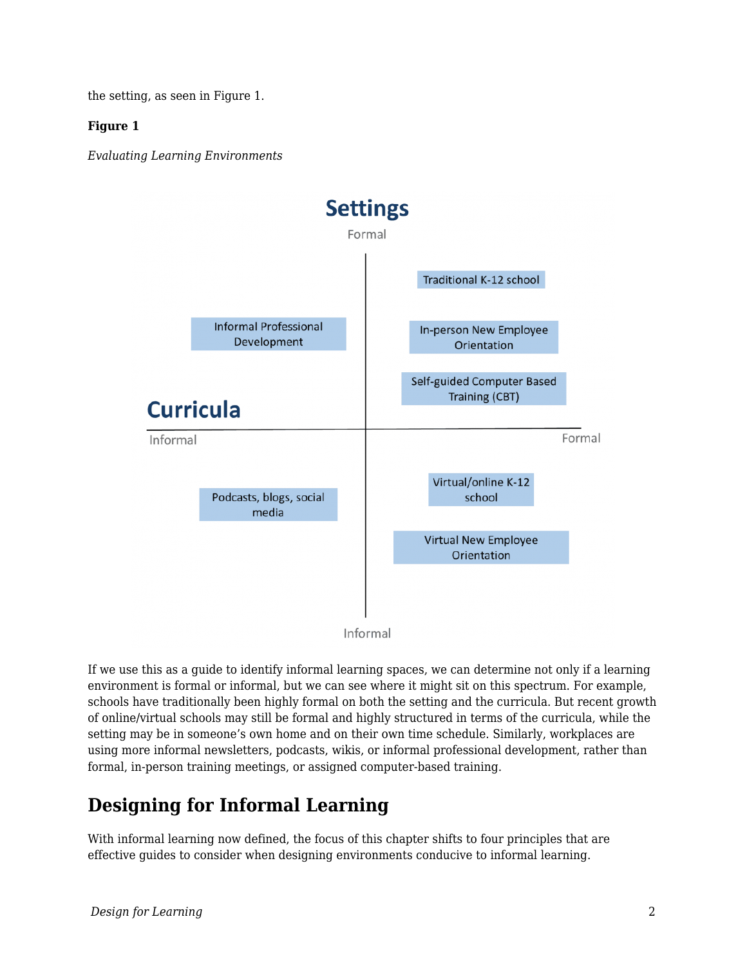the setting, as seen in Figure 1.

#### **Figure 1**

*Evaluating Learning Environments*



If we use this as a guide to identify informal learning spaces, we can determine not only if a learning environment is formal or informal, but we can see where it might sit on this spectrum. For example, schools have traditionally been highly formal on both the setting and the curricula. But recent growth of online/virtual schools may still be formal and highly structured in terms of the curricula, while the setting may be in someone's own home and on their own time schedule. Similarly, workplaces are using more informal newsletters, podcasts, wikis, or informal professional development, rather than formal, in-person training meetings, or assigned computer-based training.

## **Designing for Informal Learning**

With informal learning now defined, the focus of this chapter shifts to four principles that are effective guides to consider when designing environments conducive to informal learning.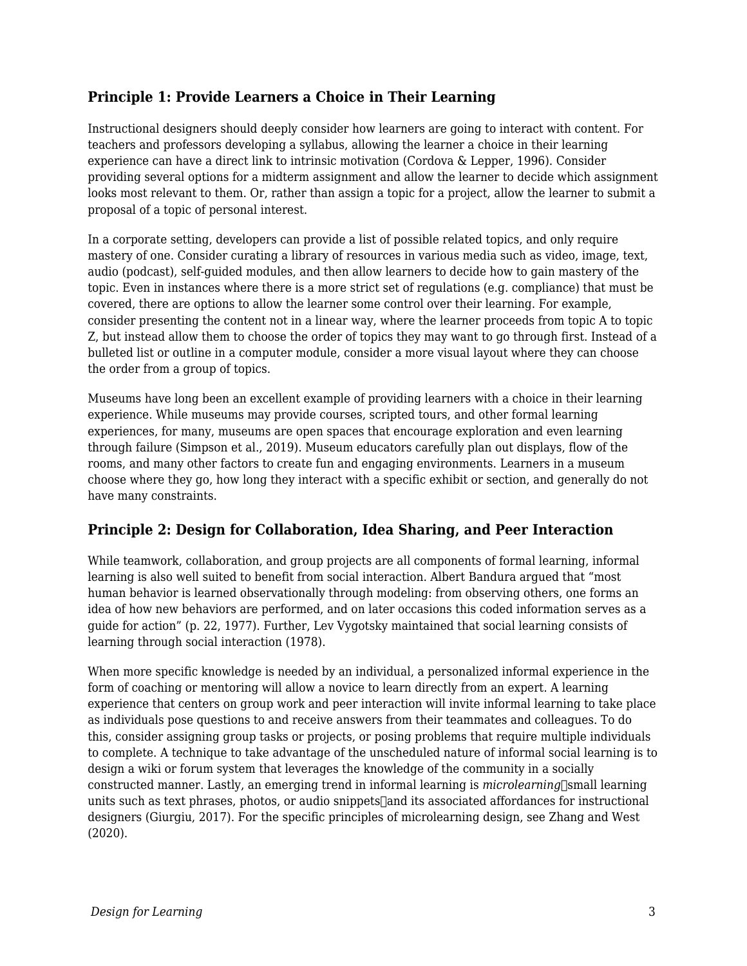#### **Principle 1: Provide Learners a Choice in Their Learning**

Instructional designers should deeply consider how learners are going to interact with content. For teachers and professors developing a syllabus, allowing the learner a choice in their learning experience can have a direct link to intrinsic motivation (Cordova & Lepper, 1996). Consider providing several options for a midterm assignment and allow the learner to decide which assignment looks most relevant to them. Or, rather than assign a topic for a project, allow the learner to submit a proposal of a topic of personal interest.

In a corporate setting, developers can provide a list of possible related topics, and only require mastery of one. Consider curating a library of resources in various media such as video, image, text, audio (podcast), self-guided modules, and then allow learners to decide how to gain mastery of the topic. Even in instances where there is a more strict set of regulations (e.g. compliance) that must be covered, there are options to allow the learner some control over their learning. For example, consider presenting the content not in a linear way, where the learner proceeds from topic A to topic Z, but instead allow them to choose the order of topics they may want to go through first. Instead of a bulleted list or outline in a computer module, consider a more visual layout where they can choose the order from a group of topics.

Museums have long been an excellent example of providing learners with a choice in their learning experience. While museums may provide courses, scripted tours, and other formal learning experiences, for many, museums are open spaces that encourage exploration and even learning through failure (Simpson et al., 2019). Museum educators carefully plan out displays, flow of the rooms, and many other factors to create fun and engaging environments. Learners in a museum choose where they go, how long they interact with a specific exhibit or section, and generally do not have many constraints.

#### **Principle 2: Design for Collaboration, Idea Sharing, and Peer Interaction**

While teamwork, collaboration, and group projects are all components of formal learning, informal learning is also well suited to benefit from social interaction. Albert Bandura argued that "most human behavior is learned observationally through modeling: from observing others, one forms an idea of how new behaviors are performed, and on later occasions this coded information serves as a guide for action" (p. 22, 1977). Further, Lev Vygotsky maintained that social learning consists of learning through social interaction (1978).

When more specific knowledge is needed by an individual, a personalized informal experience in the form of coaching or mentoring will allow a novice to learn directly from an expert. A learning experience that centers on group work and peer interaction will invite informal learning to take place as individuals pose questions to and receive answers from their teammates and colleagues. To do this, consider assigning group tasks or projects, or posing problems that require multiple individuals to complete. A technique to take advantage of the unscheduled nature of informal social learning is to design a wiki or forum system that leverages the knowledge of the community in a socially constructed manner. Lastly, an emerging trend in informal learning is *microlearning*-small learning units such as text phrases, photos, or audio snippets $\lceil$  and its associated affordances for instructional designers (Giurgiu, 2017). For the specific principles of microlearning design, see Zhang and West (2020).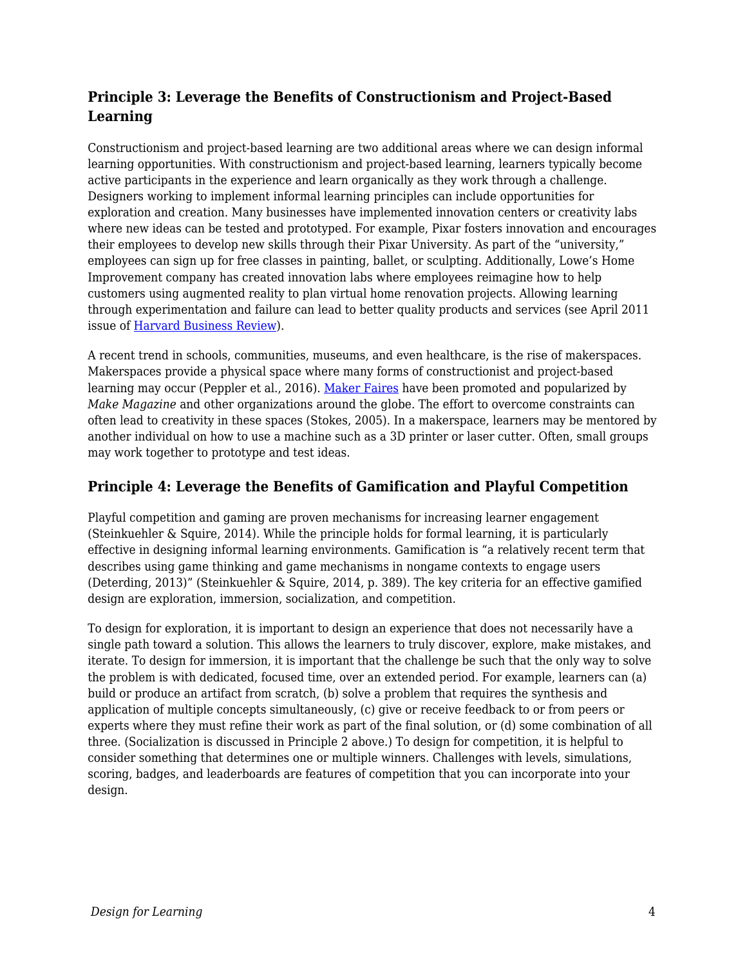#### **Principle 3: Leverage the Benefits of Constructionism and Project-Based Learning**

Constructionism and project-based learning are two additional areas where we can design informal learning opportunities. With constructionism and project-based learning, learners typically become active participants in the experience and learn organically as they work through a challenge. Designers working to implement informal learning principles can include opportunities for exploration and creation. Many businesses have implemented innovation centers or creativity labs where new ideas can be tested and prototyped. For example, Pixar fosters innovation and encourages their employees to develop new skills through their Pixar University. As part of the "university," employees can sign up for free classes in painting, ballet, or sculpting. Additionally, Lowe's Home Improvement company has created innovation labs where employees reimagine how to help customers using augmented reality to plan virtual home renovation projects. Allowing learning through experimentation and failure can lead to better quality products and services (see April 2011 issue of [Harvard Business Review\)](https://hbr.org/archive-toc/BR1104).

A recent trend in schools, communities, museums, and even healthcare, is the rise of makerspaces. Makerspaces provide a physical space where many forms of constructionist and project-based learning may occur (Peppler et al., 2016). [Maker Faires](https://makerfaire.com/maker-movement/) have been promoted and popularized by *Make Magazine* and other organizations around the globe. The effort to overcome constraints can often lead to creativity in these spaces (Stokes, 2005). In a makerspace, learners may be mentored by another individual on how to use a machine such as a 3D printer or laser cutter. Often, small groups may work together to prototype and test ideas.

#### **Principle 4: Leverage the Benefits of Gamification and Playful Competition**

Playful competition and gaming are proven mechanisms for increasing learner engagement (Steinkuehler & Squire, 2014). While the principle holds for formal learning, it is particularly effective in designing informal learning environments. Gamification is "a relatively recent term that describes using game thinking and game mechanisms in nongame contexts to engage users (Deterding, 2013)" (Steinkuehler & Squire, 2014, p. 389). The key criteria for an effective gamified design are exploration, immersion, socialization, and competition.

To design for exploration, it is important to design an experience that does not necessarily have a single path toward a solution. This allows the learners to truly discover, explore, make mistakes, and iterate. To design for immersion, it is important that the challenge be such that the only way to solve the problem is with dedicated, focused time, over an extended period. For example, learners can (a) build or produce an artifact from scratch, (b) solve a problem that requires the synthesis and application of multiple concepts simultaneously, (c) give or receive feedback to or from peers or experts where they must refine their work as part of the final solution, or (d) some combination of all three. (Socialization is discussed in Principle 2 above.) To design for competition, it is helpful to consider something that determines one or multiple winners. Challenges with levels, simulations, scoring, badges, and leaderboards are features of competition that you can incorporate into your design.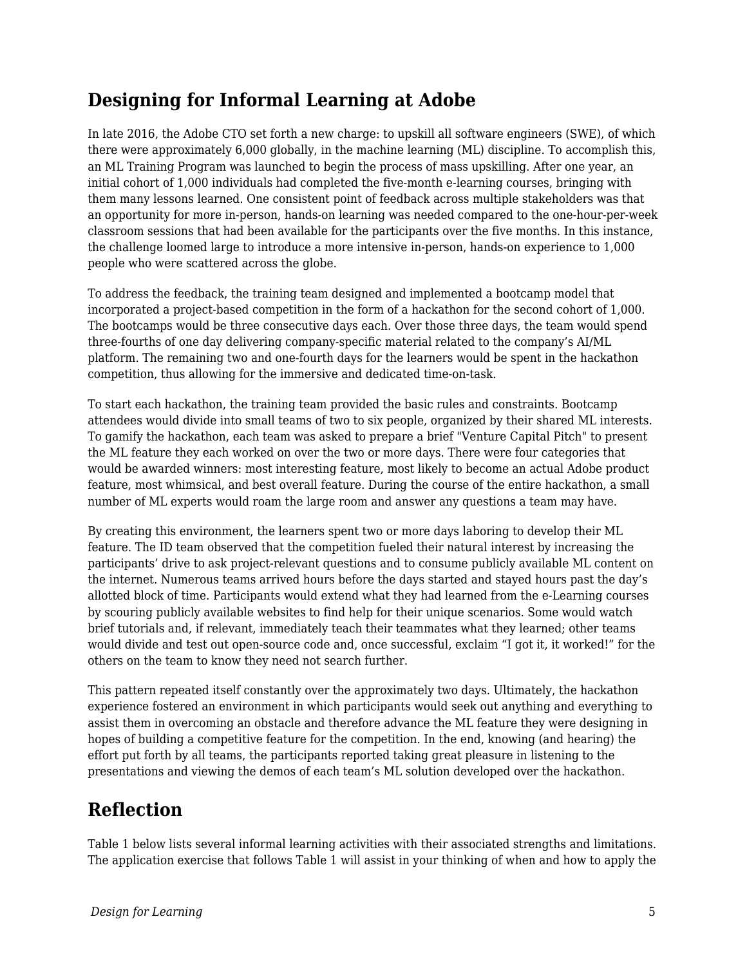### **Designing for Informal Learning at Adobe**

In late 2016, the Adobe CTO set forth a new charge: to upskill all software engineers (SWE), of which there were approximately 6,000 globally, in the machine learning (ML) discipline. To accomplish this, an ML Training Program was launched to begin the process of mass upskilling. After one year, an initial cohort of 1,000 individuals had completed the five-month e-learning courses, bringing with them many lessons learned. One consistent point of feedback across multiple stakeholders was that an opportunity for more in-person, hands-on learning was needed compared to the one-hour-per-week classroom sessions that had been available for the participants over the five months. In this instance, the challenge loomed large to introduce a more intensive in-person, hands-on experience to 1,000 people who were scattered across the globe.

To address the feedback, the training team designed and implemented a bootcamp model that incorporated a project-based competition in the form of a hackathon for the second cohort of 1,000. The bootcamps would be three consecutive days each. Over those three days, the team would spend three-fourths of one day delivering company-specific material related to the company's AI/ML platform. The remaining two and one-fourth days for the learners would be spent in the hackathon competition, thus allowing for the immersive and dedicated time-on-task.

To start each hackathon, the training team provided the basic rules and constraints. Bootcamp attendees would divide into small teams of two to six people, organized by their shared ML interests. To gamify the hackathon, each team was asked to prepare a brief "Venture Capital Pitch" to present the ML feature they each worked on over the two or more days. There were four categories that would be awarded winners: most interesting feature, most likely to become an actual Adobe product feature, most whimsical, and best overall feature. During the course of the entire hackathon, a small number of ML experts would roam the large room and answer any questions a team may have.

By creating this environment, the learners spent two or more days laboring to develop their ML feature. The ID team observed that the competition fueled their natural interest by increasing the participants' drive to ask project-relevant questions and to consume publicly available ML content on the internet. Numerous teams arrived hours before the days started and stayed hours past the day's allotted block of time. Participants would extend what they had learned from the e-Learning courses by scouring publicly available websites to find help for their unique scenarios. Some would watch brief tutorials and, if relevant, immediately teach their teammates what they learned; other teams would divide and test out open-source code and, once successful, exclaim "I got it, it worked!" for the others on the team to know they need not search further.

This pattern repeated itself constantly over the approximately two days. Ultimately, the hackathon experience fostered an environment in which participants would seek out anything and everything to assist them in overcoming an obstacle and therefore advance the ML feature they were designing in hopes of building a competitive feature for the competition. In the end, knowing (and hearing) the effort put forth by all teams, the participants reported taking great pleasure in listening to the presentations and viewing the demos of each team's ML solution developed over the hackathon.

### **Reflection**

Table 1 below lists several informal learning activities with their associated strengths and limitations. The application exercise that follows Table 1 will assist in your thinking of when and how to apply the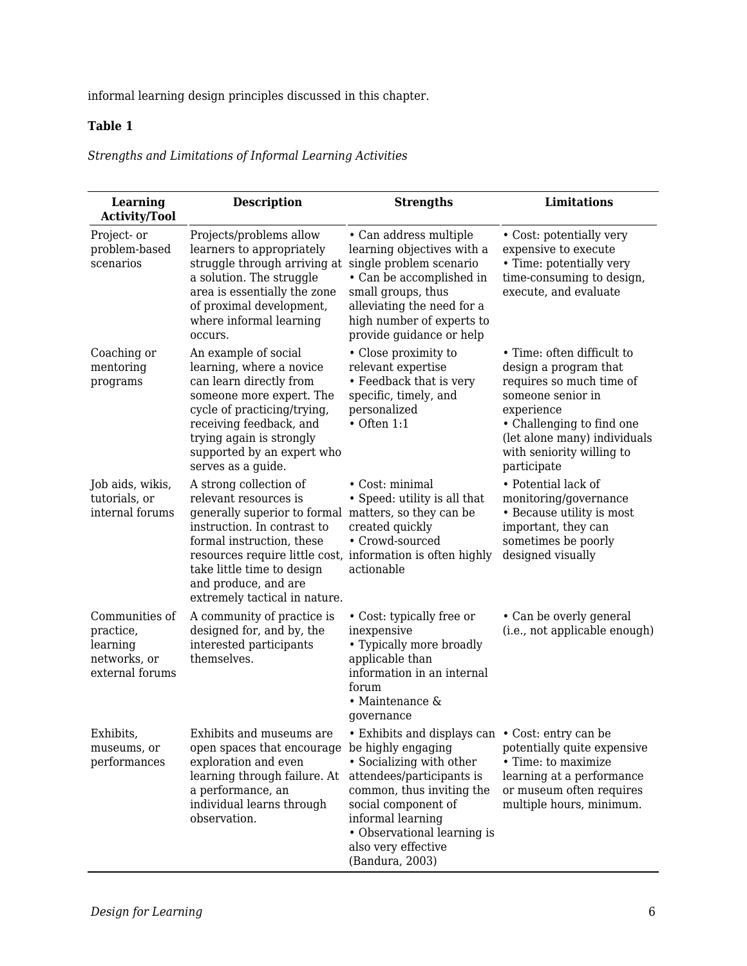informal learning design principles discussed in this chapter.

#### **Table 1**

*Strengths and Limitations of Informal Learning Activities*

| Learning<br><b>Activity/Tool</b>                                           | <b>Description</b>                                                                                                                                                                                                                                                                                                       | <b>Strengths</b>                                                                                                                                                                                                                                            | <b>Limitations</b>                                                                                                                                                                                                          |
|----------------------------------------------------------------------------|--------------------------------------------------------------------------------------------------------------------------------------------------------------------------------------------------------------------------------------------------------------------------------------------------------------------------|-------------------------------------------------------------------------------------------------------------------------------------------------------------------------------------------------------------------------------------------------------------|-----------------------------------------------------------------------------------------------------------------------------------------------------------------------------------------------------------------------------|
| Project- or<br>problem-based<br>scenarios                                  | Projects/problems allow<br>learners to appropriately<br>struggle through arriving at<br>a solution. The struggle<br>area is essentially the zone<br>of proximal development,<br>where informal learning<br>occurs.                                                                                                       | • Can address multiple<br>learning objectives with a<br>single problem scenario<br>• Can be accomplished in<br>small groups, thus<br>alleviating the need for a<br>high number of experts to<br>provide guidance or help                                    | • Cost: potentially very<br>expensive to execute<br>• Time: potentially very<br>time-consuming to design,<br>execute, and evaluate                                                                                          |
| Coaching or<br>mentoring<br>programs                                       | An example of social<br>learning, where a novice<br>can learn directly from<br>someone more expert. The<br>cycle of practicing/trying,<br>receiving feedback, and<br>trying again is strongly<br>supported by an expert who<br>serves as a guide.                                                                        | • Close proximity to<br>relevant expertise<br>• Feedback that is very<br>specific, timely, and<br>personalized<br>$\bullet$ Often 1:1                                                                                                                       | • Time: often difficult to<br>design a program that<br>requires so much time of<br>someone senior in<br>experience<br>• Challenging to find one<br>(let alone many) individuals<br>with seniority willing to<br>participate |
| Job aids, wikis,<br>tutorials, or<br>internal forums                       | A strong collection of<br>relevant resources is<br>generally superior to formal matters, so they can be<br>instruction. In contrast to<br>formal instruction, these<br>resources require little cost, information is often highly<br>take little time to design<br>and produce, and are<br>extremely tactical in nature. | • Cost: minimal<br>• Speed: utility is all that<br>created quickly<br>• Crowd-sourced<br>actionable                                                                                                                                                         | • Potential lack of<br>monitoring/governance<br>• Because utility is most<br>important, they can<br>sometimes be poorly<br>designed visually                                                                                |
| Communities of<br>practice,<br>learning<br>networks, or<br>external forums | A community of practice is<br>designed for, and by, the<br>interested participants<br>themselves.                                                                                                                                                                                                                        | • Cost: typically free or<br>inexpensive<br>• Typically more broadly<br>applicable than<br>information in an internal<br>forum<br>• Maintenance $\&$<br>governance                                                                                          | • Can be overly general<br>(i.e., not applicable enough)                                                                                                                                                                    |
| Exhibits,<br>museums, or<br>performances                                   | Exhibits and museums are<br>open spaces that encourage be highly engaging<br>exploration and even<br>learning through failure. At<br>a performance, an<br>individual learns through<br>observation.                                                                                                                      | • Exhibits and displays can • Cost: entry can be<br>• Socializing with other<br>attendees/participants is<br>common, thus inviting the<br>social component of<br>informal learning<br>• Observational learning is<br>also very effective<br>(Bandura, 2003) | potentially quite expensive<br>• Time: to maximize<br>learning at a performance<br>or museum often requires<br>multiple hours, minimum.                                                                                     |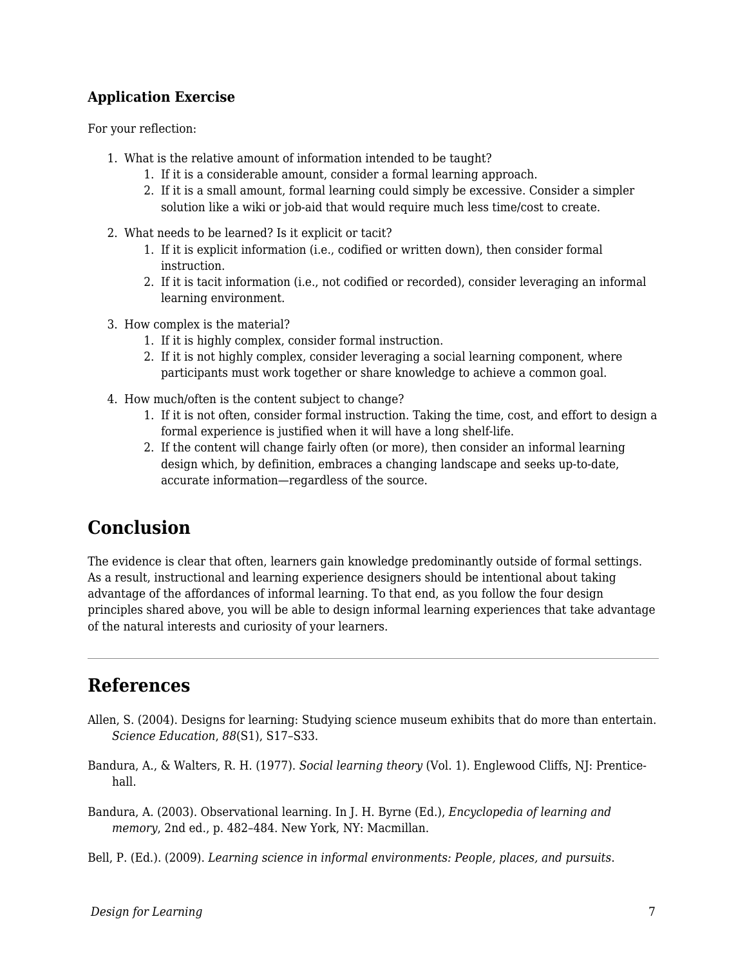#### **Application Exercise**

For your reflection:

- 1. What is the relative amount of information intended to be taught?
	- 1. If it is a considerable amount, consider a formal learning approach.
	- 2. If it is a small amount, formal learning could simply be excessive. Consider a simpler solution like a wiki or job-aid that would require much less time/cost to create.
- 2. What needs to be learned? Is it explicit or tacit?
	- 1. If it is explicit information (i.e., codified or written down), then consider formal instruction.
	- 2. If it is tacit information (i.e., not codified or recorded), consider leveraging an informal learning environment.
- 3. How complex is the material?
	- 1. If it is highly complex, consider formal instruction.
	- 2. If it is not highly complex, consider leveraging a social learning component, where participants must work together or share knowledge to achieve a common goal.
- 4. How much/often is the content subject to change?
	- 1. If it is not often, consider formal instruction. Taking the time, cost, and effort to design a formal experience is justified when it will have a long shelf-life.
	- 2. If the content will change fairly often (or more), then consider an informal learning design which, by definition, embraces a changing landscape and seeks up-to-date, accurate information—regardless of the source.

### **Conclusion**

The evidence is clear that often, learners gain knowledge predominantly outside of formal settings. As a result, instructional and learning experience designers should be intentional about taking advantage of the affordances of informal learning. To that end, as you follow the four design principles shared above, you will be able to design informal learning experiences that take advantage of the natural interests and curiosity of your learners.

### **References**

- Allen, S. (2004). Designs for learning: Studying science museum exhibits that do more than entertain. *Science Education*, *88*(S1), S17–S33.
- Bandura, A., & Walters, R. H. (1977). *Social learning theory* (Vol. 1). Englewood Cliffs, NJ: Prenticehall.

Bandura, A. (2003). Observational learning. In J. H. Byrne (Ed.), *Encyclopedia of learning and memory*, 2nd ed., p. 482–484. New York, NY: Macmillan.

Bell, P. (Ed.). (2009). *Learning science in informal environments: People, places, and pursuits*.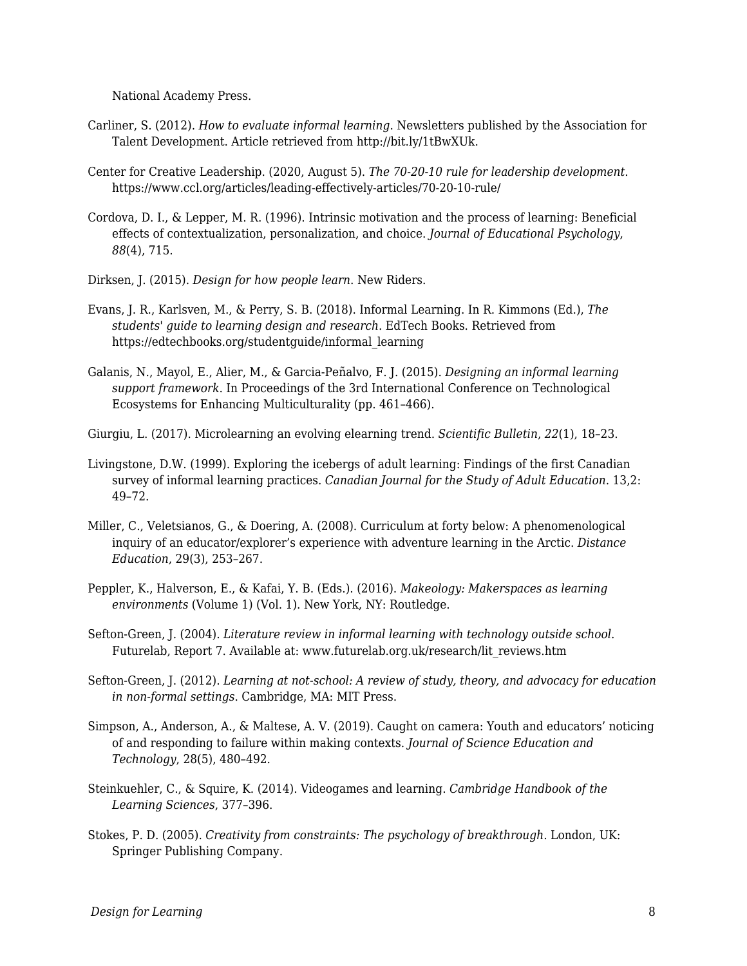National Academy Press.

- Carliner, S. (2012). *How to evaluate informal learning*. Newsletters published by the Association for Talent Development. Article retrieved from http://bit.ly/1tBwXUk.
- Center for Creative Leadership. (2020, August 5). *The 70-20-10 rule for leadership development*. https://www.ccl.org/articles/leading-effectively-articles/70-20-10-rule/
- Cordova, D. I., & Lepper, M. R. (1996). Intrinsic motivation and the process of learning: Beneficial effects of contextualization, personalization, and choice. *Journal of Educational Psychology*, *88*(4), 715.
- Dirksen, J. (2015). *Design for how people learn*. New Riders.
- Evans, J. R., Karlsven, M., & Perry, S. B. (2018). Informal Learning. In R. Kimmons (Ed.), *The students' guide to learning design and research*. EdTech Books. Retrieved from https://edtechbooks.org/studentguide/informal\_learning
- Galanis, N., Mayol, E., Alier, M., & Garcia-Peñalvo, F. J. (2015). *Designing an informal learning support framework*. In Proceedings of the 3rd International Conference on Technological Ecosystems for Enhancing Multiculturality (pp. 461–466).
- Giurgiu, L. (2017). Microlearning an evolving elearning trend. *Scientific Bulletin*, *22*(1), 18–23.
- Livingstone, D.W. (1999). Exploring the icebergs of adult learning: Findings of the first Canadian survey of informal learning practices. *Canadian Journal for the Study of Adult Education*. 13,2: 49–72.
- Miller, C., Veletsianos, G., & Doering, A. (2008). Curriculum at forty below: A phenomenological inquiry of an educator/explorer's experience with adventure learning in the Arctic. *Distance Education*, 29(3), 253–267.
- Peppler, K., Halverson, E., & Kafai, Y. B. (Eds.). (2016). *Makeology: Makerspaces as learning environments* (Volume 1) (Vol. 1). New York, NY: Routledge.
- Sefton-Green, J. (2004). *Literature review in informal learning with technology outside school*. Futurelab, Report 7. Available at: www.futurelab.org.uk/research/lit\_reviews.htm
- Sefton-Green, J. (2012). *Learning at not-school: A review of study, theory, and advocacy for education in non-formal settings*. Cambridge, MA: MIT Press.
- Simpson, A., Anderson, A., & Maltese, A. V. (2019). Caught on camera: Youth and educators' noticing of and responding to failure within making contexts. *Journal of Science Education and Technology*, 28(5), 480–492.
- Steinkuehler, C., & Squire, K. (2014). Videogames and learning. *Cambridge Handbook of the Learning Sciences*, 377–396.
- Stokes, P. D. (2005). *Creativity from constraints: The psychology of breakthrough*. London, UK: Springer Publishing Company.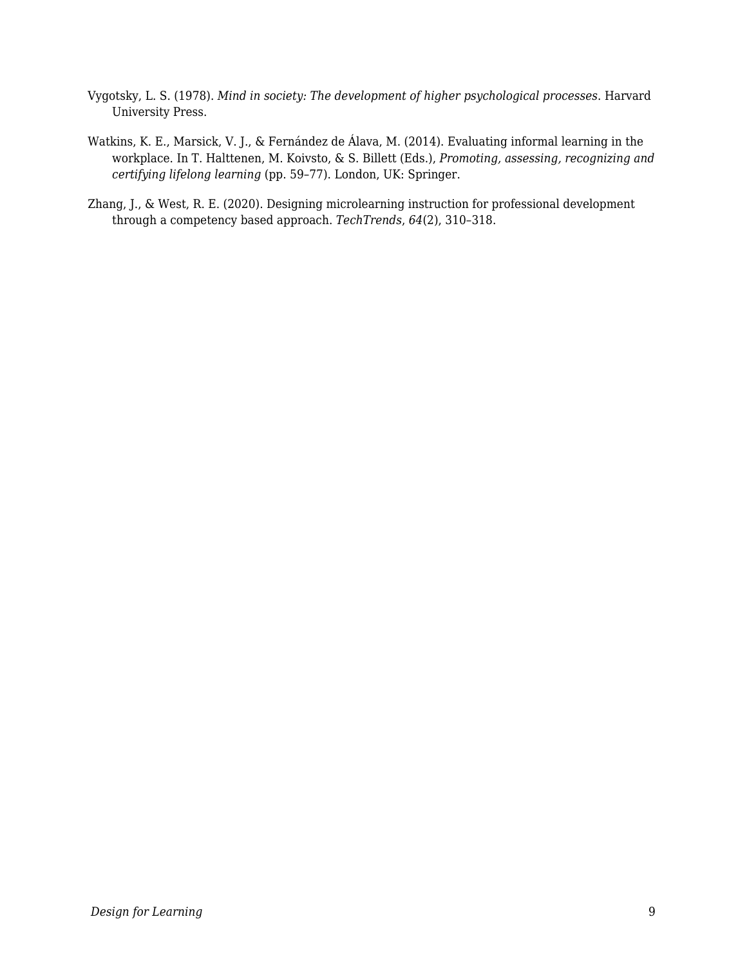- Vygotsky, L. S. (1978). *Mind in society: The development of higher psychological processes*. Harvard University Press.
- Watkins, K. E., Marsick, V. J., & Fernández de Álava, M. (2014). Evaluating informal learning in the workplace. In T. Halttenen, M. Koivsto, & S. Billett (Eds.), *Promoting, assessing, recognizing and certifying lifelong learning* (pp. 59–77). London, UK: Springer.
- Zhang, J., & West, R. E. (2020). Designing microlearning instruction for professional development through a competency based approach. *TechTrends*, *64*(2), 310–318.